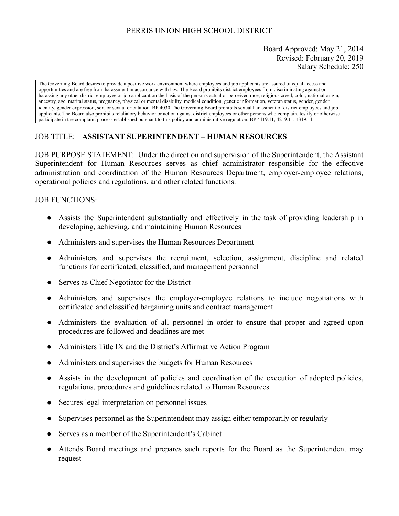# Board Approved: May 21, 2014 Revised: February 20, 2019 Salary Schedule: 250

The Governing Board desires to provide a positive work environment where employees and job applicants are assured of equal access and opportunities and are free from harassment in accordance with law. The Board prohibits district employees from discriminating against or harassing any other district employee or job applicant on the basis of the person's actual or perceived race, religious creed, color, national origin, ancestry, age, marital status, pregnancy, physical or mental disability, medical condition, genetic information, veteran status, gender, gender identity, gender expression, sex, or sexual orientation. BP 4030 The Governing Board prohibits sexual harassment of district employees and job applicants. The Board also prohibits retaliatory behavior or action against district employees or other persons who complain, testify or otherwise participate in the complaint process established pursuant to this policy and administrative regulation. BP 4119.11, 4219.11, 4319.11

# JOB TITLE: **ASSISTANT SUPERINTENDENT – HUMAN RESOURCES**

JOB PURPOSE STATEMENT: Under the direction and supervision of the Superintendent, the Assistant Superintendent for Human Resources serves as chief administrator responsible for the effective administration and coordination of the Human Resources Department, employer-employee relations, operational policies and regulations, and other related functions.

### JOB FUNCTIONS:

- Assists the Superintendent substantially and effectively in the task of providing leadership in developing, achieving, and maintaining Human Resources
- Administers and supervises the Human Resources Department
- Administers and supervises the recruitment, selection, assignment, discipline and related functions for certificated, classified, and management personnel
- Serves as Chief Negotiator for the District
- Administers and supervises the employer-employee relations to include negotiations with certificated and classified bargaining units and contract management
- Administers the evaluation of all personnel in order to ensure that proper and agreed upon procedures are followed and deadlines are met
- Administers Title IX and the District's Affirmative Action Program
- Administers and supervises the budgets for Human Resources
- Assists in the development of policies and coordination of the execution of adopted policies, regulations, procedures and guidelines related to Human Resources
- Secures legal interpretation on personnel issues
- Supervises personnel as the Superintendent may assign either temporarily or regularly
- Serves as a member of the Superintendent's Cabinet
- Attends Board meetings and prepares such reports for the Board as the Superintendent may request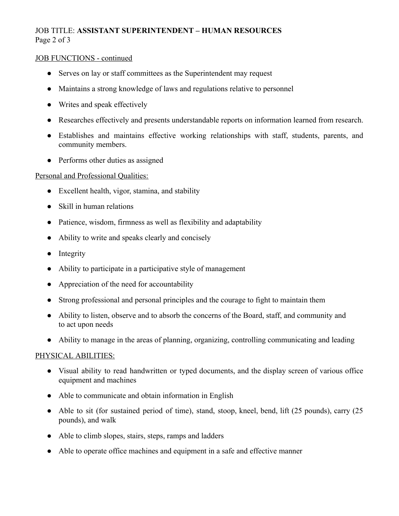# JOB TITLE: **ASSISTANT SUPERINTENDENT – HUMAN RESOURCES**  Page 2 of 3

### JOB FUNCTIONS - continued

- Serves on lay or staff committees as the Superintendent may request
- Maintains a strong knowledge of laws and regulations relative to personnel
- Writes and speak effectively
- Researches effectively and presents understandable reports on information learned from research.
- Establishes and maintains effective working relationships with staff, students, parents, and community members.
- Performs other duties as assigned

### Personal and Professional Qualities:

- Excellent health, vigor, stamina, and stability
- Skill in human relations
- Patience, wisdom, firmness as well as flexibility and adaptability
- Ability to write and speaks clearly and concisely
- Integrity
- Ability to participate in a participative style of management
- Appreciation of the need for accountability
- Strong professional and personal principles and the courage to fight to maintain them
- Ability to listen, observe and to absorb the concerns of the Board, staff, and community and to act upon needs
- Ability to manage in the areas of planning, organizing, controlling communicating and leading

### PHYSICAL ABILITIES:

- Visual ability to read handwritten or typed documents, and the display screen of various office equipment and machines
- Able to communicate and obtain information in English
- Able to sit (for sustained period of time), stand, stoop, kneel, bend, lift (25 pounds), carry (25 pounds), and walk
- Able to climb slopes, stairs, steps, ramps and ladders
- Able to operate office machines and equipment in a safe and effective manner